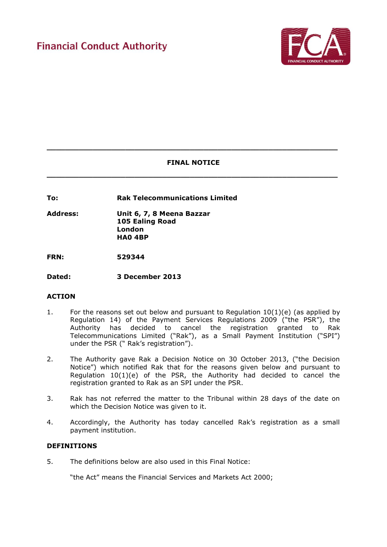

# **FINAL NOTICE**

**\_\_\_\_\_\_\_\_\_\_\_\_\_\_\_\_\_\_\_\_\_\_\_\_\_\_\_\_\_\_\_\_\_\_\_\_\_\_\_\_\_\_\_\_\_\_\_\_\_\_\_\_\_\_\_\_\_\_\_\_\_\_\_**

**\_\_\_\_\_\_\_\_\_\_\_\_\_\_\_\_\_\_\_\_\_\_\_\_\_\_\_\_\_\_\_\_\_\_\_\_\_\_\_\_\_\_\_\_\_\_\_\_\_\_\_\_\_\_\_\_\_\_\_\_\_\_\_**

**To: Rak Telecommunications Limited**

**Address: Unit 6, 7, 8 Meena Bazzar 105 Ealing Road London HA0 4BP**

**FRN: 529344**

**Dated: 3 December 2013** 

## **ACTION**

- 1. For the reasons set out below and pursuant to Regulation 10(1)(e) (as applied by Regulation 14) of the Payment Services Regulations 2009 ("the PSR"), the Authority has decided to cancel the registration granted to Rak Telecommunications Limited ("Rak"), as a Small Payment Institution ("SPI") under the PSR (" Rak's registration").
- 2. The Authority gave Rak a Decision Notice on 30 October 2013, ("the Decision Notice") which notified Rak that for the reasons given below and pursuant to Regulation  $10(1)(e)$  of the PSR, the Authority had decided to cancel the registration granted to Rak as an SPI under the PSR.
- 3. Rak has not referred the matter to the Tribunal within 28 days of the date on which the Decision Notice was given to it.
- 4. Accordingly, the Authority has today cancelled Rak's registration as a small payment institution.

## **DEFINITIONS**

5. The definitions below are also used in this Final Notice:

"the Act" means the Financial Services and Markets Act 2000;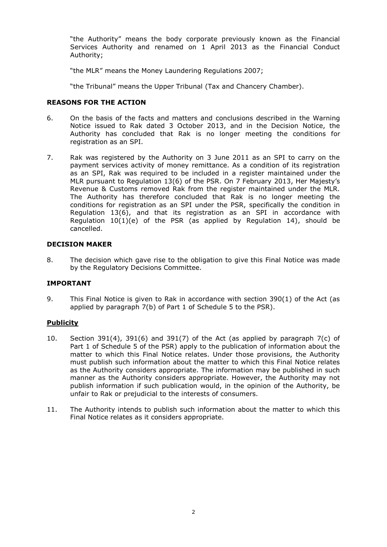"the Authority" means the body corporate previously known as the Financial Services Authority and renamed on 1 April 2013 as the Financial Conduct Authority;

"the MLR" means the Money Laundering Regulations 2007;

"the Tribunal" means the Upper Tribunal (Tax and Chancery Chamber).

#### **REASONS FOR THE ACTION**

- 6. On the basis of the facts and matters and conclusions described in the Warning Notice issued to Rak dated 3 October 2013, and in the Decision Notice, the Authority has concluded that Rak is no longer meeting the conditions for registration as an SPI.
- 7. Rak was registered by the Authority on 3 June 2011 as an SPI to carry on the payment services activity of money remittance. As a condition of its registration as an SPI, Rak was required to be included in a register maintained under the MLR pursuant to Regulation 13(6) of the PSR. On 7 February 2013, Her Majesty's Revenue & Customs removed Rak from the register maintained under the MLR. The Authority has therefore concluded that Rak is no longer meeting the conditions for registration as an SPI under the PSR, specifically the condition in Regulation 13(6), and that its registration as an SPI in accordance with Regulation  $10(1)(e)$  of the PSR (as applied by Regulation 14), should be cancelled.

#### **DECISION MAKER**

8. The decision which gave rise to the obligation to give this Final Notice was made by the Regulatory Decisions Committee.

## **IMPORTANT**

9. This Final Notice is given to Rak in accordance with section 390(1) of the Act (as applied by paragraph 7(b) of Part 1 of Schedule 5 to the PSR).

## **Publicity**

- 10. Section 391(4), 391(6) and 391(7) of the Act (as applied by paragraph 7(c) of Part 1 of Schedule 5 of the PSR) apply to the publication of information about the matter to which this Final Notice relates. Under those provisions, the Authority must publish such information about the matter to which this Final Notice relates as the Authority considers appropriate. The information may be published in such manner as the Authority considers appropriate. However, the Authority may not publish information if such publication would, in the opinion of the Authority, be unfair to Rak or prejudicial to the interests of consumers.
- 11. The Authority intends to publish such information about the matter to which this Final Notice relates as it considers appropriate.